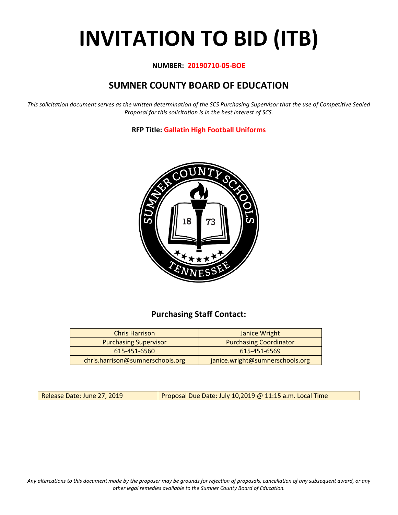# **INVITATION TO BID (ITB)**

#### **NUMBER: 20190710-05-BOE**

# **SUMNER COUNTY BOARD OF EDUCATION**

*This solicitation document serves as the written determination of the SCS Purchasing Supervisor that the use of Competitive Sealed Proposal for this solicitation is in the best interest of SCS.*

**RFP Title: Gallatin High Football Uniforms**



## **Purchasing Staff Contact:**

| <b>Chris Harrison</b>            | Janice Wright                   |
|----------------------------------|---------------------------------|
| <b>Purchasing Supervisor</b>     | <b>Purchasing Coordinator</b>   |
| 615-451-6560                     | 615-451-6569                    |
| chris.harrison@sumnerschools.org | janice.wright@sumnerschools.org |

Release Date: June 27, 2019 | Proposal Due Date: July 10,2019 @ 11:15 a.m. Local Time

*Any altercations to this document made by the proposer may be grounds for rejection of proposals, cancellation of any subsequent award, or any other legal remedies available to the Sumner County Board of Education.*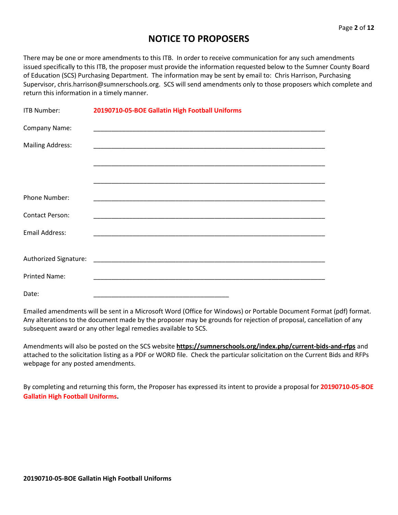## **NOTICE TO PROPOSERS**

There may be one or more amendments to this ITB. In order to receive communication for any such amendments issued specifically to this ITB, the proposer must provide the information requested below to the Sumner County Board of Education (SCS) Purchasing Department. The information may be sent by email to: Chris Harrison, Purchasing Supervisor, chris.harrison@sumnerschools.org. SCS will send amendments only to those proposers which complete and return this information in a timely manner.

| ITB Number:             | 20190710-05-BOE Gallatin High Football Uniforms      |
|-------------------------|------------------------------------------------------|
| Company Name:           |                                                      |
| <b>Mailing Address:</b> |                                                      |
|                         |                                                      |
|                         |                                                      |
| Phone Number:           |                                                      |
| <b>Contact Person:</b>  |                                                      |
| <b>Email Address:</b>   | <u> 1980 - Jan Barnett, fransk politik (d. 1980)</u> |
| Authorized Signature:   |                                                      |
|                         |                                                      |
| <b>Printed Name:</b>    |                                                      |
| Date:                   |                                                      |

Emailed amendments will be sent in a Microsoft Word (Office for Windows) or Portable Document Format (pdf) format. Any alterations to the document made by the proposer may be grounds for rejection of proposal, cancellation of any subsequent award or any other legal remedies available to SCS.

Amendments will also be posted on the SCS website **https://sumnerschools.org/index.php/current-bids-and-rfps** and attached to the solicitation listing as a PDF or WORD file. Check the particular solicitation on the Current Bids and RFPs webpage for any posted amendments.

By completing and returning this form, the Proposer has expressed its intent to provide a proposal for **20190710-05-BOE Gallatin High Football Uniforms.**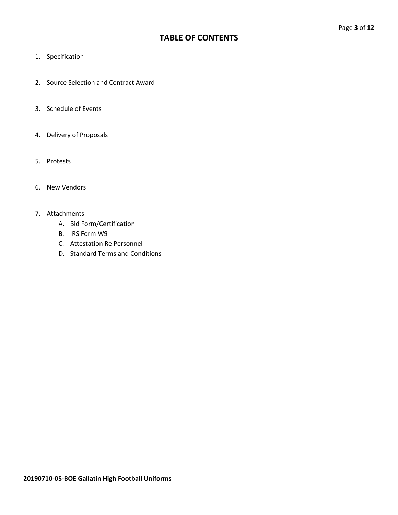## **TABLE OF CONTENTS**

- 1. Specification
- 2. Source Selection and Contract Award
- 3. Schedule of Events
- 4. Delivery of Proposals
- 5. Protests
- 6. New Vendors

#### 7. Attachments

- A. Bid Form/Certification
- B. IRS Form W9
- C. Attestation Re Personnel
- D. Standard Terms and Conditions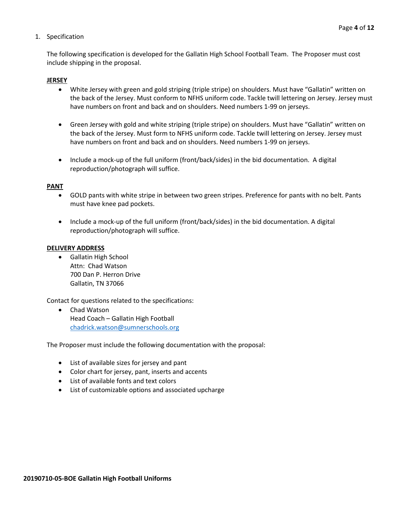#### 1. Specification

The following specification is developed for the Gallatin High School Football Team. The Proposer must cost include shipping in the proposal.

#### **JERSEY**

- White Jersey with green and gold striping (triple stripe) on shoulders. Must have "Gallatin" written on the back of the Jersey. Must conform to NFHS uniform code. Tackle twill lettering on Jersey. Jersey must have numbers on front and back and on shoulders. Need numbers 1-99 on jerseys.
- Green Jersey with gold and white striping (triple stripe) on shoulders. Must have "Gallatin" written on the back of the Jersey. Must form to NFHS uniform code. Tackle twill lettering on Jersey. Jersey must have numbers on front and back and on shoulders. Need numbers 1-99 on jerseys.
- Include a mock-up of the full uniform (front/back/sides) in the bid documentation. A digital reproduction/photograph will suffice.

#### **PANT**

- GOLD pants with white stripe in between two green stripes. Preference for pants with no belt. Pants must have knee pad pockets.
- Include a mock-up of the full uniform (front/back/sides) in the bid documentation. A digital reproduction/photograph will suffice.

#### **DELIVERY ADDRESS**

• Gallatin High School Attn: Chad Watson 700 Dan P. Herron Drive Gallatin, TN 37066

Contact for questions related to the specifications:

• Chad Watson Head Coach – Gallatin High Football [chadrick.watson@sumnerschools.org](mailto:mark.williams@sumnerschools.org)

The Proposer must include the following documentation with the proposal:

- List of available sizes for jersey and pant
- Color chart for jersey, pant, inserts and accents
- List of available fonts and text colors
- List of customizable options and associated upcharge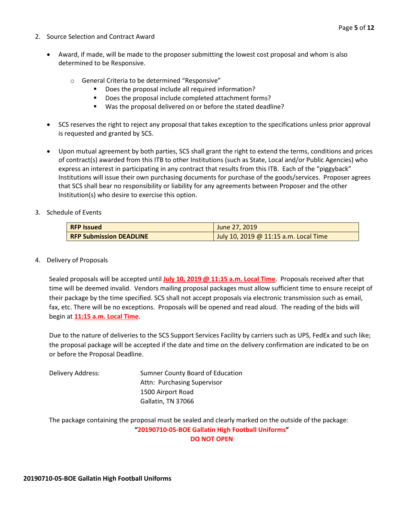- 2. Source Selection and Contract Award
	- Award, if made, will be made to the proposer submitting the lowest cost proposal and whom is also determined to be Responsive.
		- o General Criteria to be determined "Responsive"
			- Does the proposal include all required information?
			- Does the proposal include completed attachment forms?
			- Was the proposal delivered on or before the stated deadline?
	- SCS reserves the right to reject any proposal that takes exception to the specifications unless prior approval is requested and granted by SCS.
	- Upon mutual agreement by both parties, SCS shall grant the right to extend the terms, conditions and prices of contract(s) awarded from this ITB to other Institutions (such as State, Local and/or Public Agencies) who express an interest in participating in any contract that results from this ITB. Each of the "piggyback" Institutions will issue their own purchasing documents for purchase of the goods/services. Proposer agrees that SCS shall bear no responsibility or liability for any agreements between Proposer and the other Institution(s) who desire to exercise this option.
- 3. Schedule of Events

| <b>RFP Issued</b>              | June 27, 2019                         |
|--------------------------------|---------------------------------------|
| <b>RFP Submission DEADLINE</b> | July 10, 2019 @ 11:15 a.m. Local Time |

4. Delivery of Proposals

Sealed proposals will be accepted until **July 10, 2019 @ 11:15 a.m. Local Time**. Proposals received after that time will be deemed invalid. Vendors mailing proposal packages must allow sufficient time to ensure receipt of their package by the time specified. SCS shall not accept proposals via electronic transmission such as email, fax, etc. There will be no exceptions. Proposals will be opened and read aloud. The reading of the bids will begin at **11:15 a.m. Local Time**.

Due to the nature of deliveries to the SCS Support Services Facility by carriers such as UPS, FedEx and such like; the proposal package will be accepted if the date and time on the delivery confirmation are indicated to be on or before the Proposal Deadline.

| Delivery Address: | Sumner County Board of Education |
|-------------------|----------------------------------|
|                   | Attn: Purchasing Supervisor      |
|                   | 1500 Airport Road                |
|                   | Gallatin, TN 37066               |

The package containing the proposal must be sealed and clearly marked on the outside of the package: **"20190710-05-BOE Gallatin High Football Uniforms" DO NOT OPEN**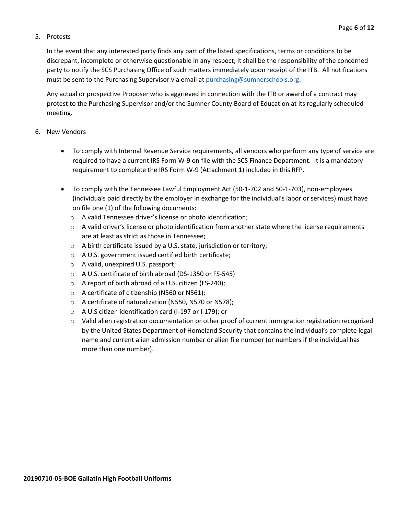#### 5. Protests

In the event that any interested party finds any part of the listed specifications, terms or conditions to be discrepant, incomplete or otherwise questionable in any respect; it shall be the responsibility of the concerned party to notify the SCS Purchasing Office of such matters immediately upon receipt of the ITB. All notifications must be sent to the Purchasing Supervisor via email at [purchasing@sumnerschools.org.](mailto:purchasing@sumnerschools.org)

Any actual or prospective Proposer who is aggrieved in connection with the ITB or award of a contract may protest to the Purchasing Supervisor and/or the Sumner County Board of Education at its regularly scheduled meeting.

#### 6. New Vendors

- To comply with Internal Revenue Service requirements, all vendors who perform any type of service are required to have a current IRS Form W-9 on file with the SCS Finance Department. It is a mandatory requirement to complete the IRS Form W-9 (Attachment 1) included in this RFP.
- To comply with the Tennessee Lawful Employment Act (50-1-702 and 50-1-703), non-employees (individuals paid directly by the employer in exchange for the individual's labor or services) must have on file one (1) of the following documents:
	- o A valid Tennessee driver's license or photo identification;
	- $\circ$  A valid driver's license or photo identification from another state where the license requirements are at least as strict as those in Tennessee;
	- o A birth certificate issued by a U.S. state, jurisdiction or territory;
	- o A U.S. government issued certified birth certificate;
	- o A valid, unexpired U.S. passport;
	- o A U.S. certificate of birth abroad (DS-1350 or FS-545)
	- o A report of birth abroad of a U.S. citizen (FS-240);
	- o A certificate of citizenship (N560 or N561);
	- o A certificate of naturalization (N550, N570 or N578);
	- o A U.S citizen identification card (I-197 or I-179); or
	- o Valid alien registration documentation or other proof of current immigration registration recognized by the United States Department of Homeland Security that contains the individual's complete legal name and current alien admission number or alien file number (or numbers if the individual has more than one number).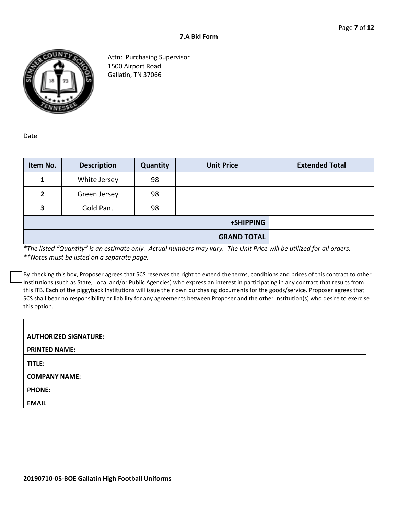

Attn: Purchasing Supervisor 1500 Airport Road Gallatin, TN 37066

Date

| Item No.           | <b>Description</b> | <b>Quantity</b> | <b>Unit Price</b> | <b>Extended Total</b> |
|--------------------|--------------------|-----------------|-------------------|-----------------------|
| 1                  | White Jersey       | 98              |                   |                       |
| $\mathbf{2}$       | Green Jersey       | 98              |                   |                       |
| 3                  | <b>Gold Pant</b>   | 98              |                   |                       |
| +SHIPPING          |                    |                 |                   |                       |
| <b>GRAND TOTAL</b> |                    |                 |                   |                       |

*\*The listed "Quantity" is an estimate only. Actual numbers may vary. The Unit Price will be utilized for all orders. \*\*Notes must be listed on a separate page.*

By checking this box, Proposer agrees that SCS reserves the right to extend the terms, conditions and prices of this contract to other Institutions (such as State, Local and/or Public Agencies) who express an interest in participating in any contract that results from this ITB. Each of the piggyback Institutions will issue their own purchasing documents for the goods/service. Proposer agrees that SCS shall bear no responsibility or liability for any agreements between Proposer and the other Institution(s) who desire to exercise this option.

| <b>AUTHORIZED SIGNATURE:</b> |  |
|------------------------------|--|
| <b>PRINTED NAME:</b>         |  |
| TITLE:                       |  |
| <b>COMPANY NAME:</b>         |  |
| <b>PHONE:</b>                |  |
| <b>EMAIL</b>                 |  |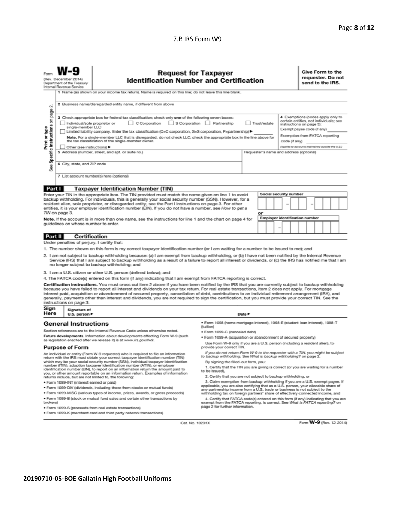#### 7.B IRS Form W9

| Form                                                                                                                                                                                                                                                                                                                                                                                                                                                                                                                                                                                                                                                       | (Rev. December 2014)<br>Department of the Treasury<br>Internal Revenue Service | <b>Request for Taxpayer</b><br><b>Identification Number and Certification</b>                                                                                                                                                                                                                                                                                                                                                                                                                                                                                                                                                 |                                                                                                                                                |                            |  |  |                                                                                                                                                                                                                                                                                          |  | Give Form to the<br>requester. Do not<br>send to the IRS. |  |  |  |  |
|------------------------------------------------------------------------------------------------------------------------------------------------------------------------------------------------------------------------------------------------------------------------------------------------------------------------------------------------------------------------------------------------------------------------------------------------------------------------------------------------------------------------------------------------------------------------------------------------------------------------------------------------------------|--------------------------------------------------------------------------------|-------------------------------------------------------------------------------------------------------------------------------------------------------------------------------------------------------------------------------------------------------------------------------------------------------------------------------------------------------------------------------------------------------------------------------------------------------------------------------------------------------------------------------------------------------------------------------------------------------------------------------|------------------------------------------------------------------------------------------------------------------------------------------------|----------------------------|--|--|------------------------------------------------------------------------------------------------------------------------------------------------------------------------------------------------------------------------------------------------------------------------------------------|--|-----------------------------------------------------------|--|--|--|--|
| 1 Name (as shown on your income tax return). Name is required on this line; do not leave this line blank.<br>2 Business name/disregarded entity name, if different from above<br>οi                                                                                                                                                                                                                                                                                                                                                                                                                                                                        |                                                                                |                                                                                                                                                                                                                                                                                                                                                                                                                                                                                                                                                                                                                               |                                                                                                                                                |                            |  |  |                                                                                                                                                                                                                                                                                          |  |                                                           |  |  |  |  |
| page<br>3 Check appropriate box for federal tax classification; check only one of the following seven boxes:<br>Specific Instructions on<br>C Corporation S Corporation Partnership<br>Trust/estate<br>Individual/sole proprietor or<br>single-member LLC<br>Print or type<br>  Limited liability company. Enter the tax classification (C=C corporation, S=S corporation, P=partnership) ▶<br>Note. For a single-member LLC that is disregarded, do not check LLC; check the appropriate box in the line above for<br>the tax classification of the single-member owner.<br>Other (see instructions)<br>5 Address (number, street, and apt. or suite no.) |                                                                                |                                                                                                                                                                                                                                                                                                                                                                                                                                                                                                                                                                                                                               |                                                                                                                                                |                            |  |  | 4 Exemptions (codes apply only to<br>certain entities, not individuals; see<br>instructions on page 3):<br>Exempt payee code (if any)<br>Exemption from FATCA reporting<br>code (if any)<br>(Applies to accounts maintained outside the U.S.)<br>Requester's name and address (optional) |  |                                                           |  |  |  |  |
| <b>See</b>                                                                                                                                                                                                                                                                                                                                                                                                                                                                                                                                                                                                                                                 | 6 City, state, and ZIP code                                                    |                                                                                                                                                                                                                                                                                                                                                                                                                                                                                                                                                                                                                               |                                                                                                                                                |                            |  |  |                                                                                                                                                                                                                                                                                          |  |                                                           |  |  |  |  |
|                                                                                                                                                                                                                                                                                                                                                                                                                                                                                                                                                                                                                                                            |                                                                                | 7 List account number(s) here (optional)                                                                                                                                                                                                                                                                                                                                                                                                                                                                                                                                                                                      |                                                                                                                                                |                            |  |  |                                                                                                                                                                                                                                                                                          |  |                                                           |  |  |  |  |
| Part I                                                                                                                                                                                                                                                                                                                                                                                                                                                                                                                                                                                                                                                     |                                                                                | <b>Taxpayer Identification Number (TIN)</b>                                                                                                                                                                                                                                                                                                                                                                                                                                                                                                                                                                                   |                                                                                                                                                |                            |  |  |                                                                                                                                                                                                                                                                                          |  |                                                           |  |  |  |  |
|                                                                                                                                                                                                                                                                                                                                                                                                                                                                                                                                                                                                                                                            |                                                                                | Enter your TIN in the appropriate box. The TIN provided must match the name given on line 1 to avoid                                                                                                                                                                                                                                                                                                                                                                                                                                                                                                                          |                                                                                                                                                |                            |  |  | Social security number                                                                                                                                                                                                                                                                   |  |                                                           |  |  |  |  |
| backup withholding. For individuals, this is generally your social security number (SSN). However, for a<br>resident alien, sole proprietor, or disregarded entity, see the Part I instructions on page 3. For other<br>entities, it is your employer identification number (EIN). If you do not have a number, see How to get a<br>TIN on page 3.<br>or                                                                                                                                                                                                                                                                                                   |                                                                                |                                                                                                                                                                                                                                                                                                                                                                                                                                                                                                                                                                                                                               |                                                                                                                                                |                            |  |  |                                                                                                                                                                                                                                                                                          |  |                                                           |  |  |  |  |
|                                                                                                                                                                                                                                                                                                                                                                                                                                                                                                                                                                                                                                                            |                                                                                | Note. If the account is in more than one name, see the instructions for line 1 and the chart on page 4 for                                                                                                                                                                                                                                                                                                                                                                                                                                                                                                                    |                                                                                                                                                |                            |  |  | <b>Employer identification number</b>                                                                                                                                                                                                                                                    |  |                                                           |  |  |  |  |
| guidelines on whose number to enter.                                                                                                                                                                                                                                                                                                                                                                                                                                                                                                                                                                                                                       |                                                                                |                                                                                                                                                                                                                                                                                                                                                                                                                                                                                                                                                                                                                               |                                                                                                                                                |                            |  |  |                                                                                                                                                                                                                                                                                          |  |                                                           |  |  |  |  |
| Part II                                                                                                                                                                                                                                                                                                                                                                                                                                                                                                                                                                                                                                                    | <b>Certification</b>                                                           |                                                                                                                                                                                                                                                                                                                                                                                                                                                                                                                                                                                                                               |                                                                                                                                                |                            |  |  |                                                                                                                                                                                                                                                                                          |  |                                                           |  |  |  |  |
|                                                                                                                                                                                                                                                                                                                                                                                                                                                                                                                                                                                                                                                            | Under penalties of perjury, I certify that:                                    |                                                                                                                                                                                                                                                                                                                                                                                                                                                                                                                                                                                                                               |                                                                                                                                                |                            |  |  |                                                                                                                                                                                                                                                                                          |  |                                                           |  |  |  |  |
|                                                                                                                                                                                                                                                                                                                                                                                                                                                                                                                                                                                                                                                            |                                                                                | 1. The number shown on this form is my correct taxpayer identification number (or I am waiting for a number to be issued to me); and                                                                                                                                                                                                                                                                                                                                                                                                                                                                                          |                                                                                                                                                |                            |  |  |                                                                                                                                                                                                                                                                                          |  |                                                           |  |  |  |  |
| 2. I am not subject to backup withholding because: (a) I am exempt from backup withholding, or (b) I have not been notified by the Internal Revenue<br>Service (IRS) that I am subject to backup withholding as a result of a failure to report all interest or dividends, or (c) the IRS has notified me that I am<br>no longer subject to backup withholding; and                                                                                                                                                                                                                                                                                        |                                                                                |                                                                                                                                                                                                                                                                                                                                                                                                                                                                                                                                                                                                                               |                                                                                                                                                |                            |  |  |                                                                                                                                                                                                                                                                                          |  |                                                           |  |  |  |  |
|                                                                                                                                                                                                                                                                                                                                                                                                                                                                                                                                                                                                                                                            |                                                                                | 3. I am a U.S. citizen or other U.S. person (defined below); and                                                                                                                                                                                                                                                                                                                                                                                                                                                                                                                                                              |                                                                                                                                                |                            |  |  |                                                                                                                                                                                                                                                                                          |  |                                                           |  |  |  |  |
|                                                                                                                                                                                                                                                                                                                                                                                                                                                                                                                                                                                                                                                            |                                                                                | 4. The FATCA code(s) entered on this form (if any) indicating that I am exempt from FATCA reporting is correct.                                                                                                                                                                                                                                                                                                                                                                                                                                                                                                               |                                                                                                                                                |                            |  |  |                                                                                                                                                                                                                                                                                          |  |                                                           |  |  |  |  |
|                                                                                                                                                                                                                                                                                                                                                                                                                                                                                                                                                                                                                                                            | instructions on page 3.                                                        | Certification instructions. You must cross out item 2 above if you have been notified by the IRS that you are currently subject to backup withholding<br>because you have failed to report all interest and dividends on your tax return. For real estate transactions, item 2 does not apply. For mortgage<br>interest paid, acquisition or abandonment of secured property, cancellation of debt, contributions to an individual retirement arrangement (IRA), and<br>generally, payments other than interest and dividends, you are not required to sign the certification, but you must provide your correct TIN. See the |                                                                                                                                                |                            |  |  |                                                                                                                                                                                                                                                                                          |  |                                                           |  |  |  |  |
| Sign<br>Here                                                                                                                                                                                                                                                                                                                                                                                                                                                                                                                                                                                                                                               | Signature of<br>U.S. person $\blacktriangleright$                              |                                                                                                                                                                                                                                                                                                                                                                                                                                                                                                                                                                                                                               |                                                                                                                                                | Date $\blacktriangleright$ |  |  |                                                                                                                                                                                                                                                                                          |  |                                                           |  |  |  |  |
|                                                                                                                                                                                                                                                                                                                                                                                                                                                                                                                                                                                                                                                            | <b>General Instructions</b>                                                    |                                                                                                                                                                                                                                                                                                                                                                                                                                                                                                                                                                                                                               | · Form 1098 (home mortgage interest), 1098-E (student loan interest), 1098-T                                                                   |                            |  |  |                                                                                                                                                                                                                                                                                          |  |                                                           |  |  |  |  |
| Section references are to the Internal Revenue Code unless otherwise noted.                                                                                                                                                                                                                                                                                                                                                                                                                                                                                                                                                                                |                                                                                | (tuition)                                                                                                                                                                                                                                                                                                                                                                                                                                                                                                                                                                                                                     |                                                                                                                                                |                            |  |  |                                                                                                                                                                                                                                                                                          |  |                                                           |  |  |  |  |
| Future developments. Information about developments affecting Form W-9 (such                                                                                                                                                                                                                                                                                                                                                                                                                                                                                                                                                                               |                                                                                |                                                                                                                                                                                                                                                                                                                                                                                                                                                                                                                                                                                                                               |                                                                                                                                                |                            |  |  |                                                                                                                                                                                                                                                                                          |  |                                                           |  |  |  |  |
|                                                                                                                                                                                                                                                                                                                                                                                                                                                                                                                                                                                                                                                            |                                                                                |                                                                                                                                                                                                                                                                                                                                                                                                                                                                                                                                                                                                                               | · Form 1099-C (canceled debt)<br>· Form 1099-A (acquisition or abandonment of secured property)                                                |                            |  |  |                                                                                                                                                                                                                                                                                          |  |                                                           |  |  |  |  |
|                                                                                                                                                                                                                                                                                                                                                                                                                                                                                                                                                                                                                                                            | <b>Purpose of Form</b>                                                         | as legislation enacted after we release it) is at www.irs.gov/fw9.                                                                                                                                                                                                                                                                                                                                                                                                                                                                                                                                                            | Use Form W-9 only if you are a U.S. person (including a resident alien), to<br>provide your correct TIN.                                       |                            |  |  |                                                                                                                                                                                                                                                                                          |  |                                                           |  |  |  |  |
|                                                                                                                                                                                                                                                                                                                                                                                                                                                                                                                                                                                                                                                            |                                                                                | An individual or entity (Form W-9 requester) who is required to file an information                                                                                                                                                                                                                                                                                                                                                                                                                                                                                                                                           | If you do not return Form W-9 to the requester with a TIN, you might be subject                                                                |                            |  |  |                                                                                                                                                                                                                                                                                          |  |                                                           |  |  |  |  |
|                                                                                                                                                                                                                                                                                                                                                                                                                                                                                                                                                                                                                                                            |                                                                                | return with the IRS must obtain your correct taxpayer identification number (TIN)                                                                                                                                                                                                                                                                                                                                                                                                                                                                                                                                             | to backup withholding. See What is backup withholding? on page 2.                                                                              |                            |  |  |                                                                                                                                                                                                                                                                                          |  |                                                           |  |  |  |  |
|                                                                                                                                                                                                                                                                                                                                                                                                                                                                                                                                                                                                                                                            |                                                                                | which may be your social security number (SSN), individual taxpayer identification<br>number (ITIN), adoption taxpayer identification number (ATIN), or employer                                                                                                                                                                                                                                                                                                                                                                                                                                                              | By signing the filled-out form, you:<br>1. Certify that the TIN you are giving is correct (or you are waiting for a number                     |                            |  |  |                                                                                                                                                                                                                                                                                          |  |                                                           |  |  |  |  |
|                                                                                                                                                                                                                                                                                                                                                                                                                                                                                                                                                                                                                                                            |                                                                                | identification number (EIN), to report on an information return the amount paid to<br>you, or other amount reportable on an information return. Examples of information                                                                                                                                                                                                                                                                                                                                                                                                                                                       | to be issued).                                                                                                                                 |                            |  |  |                                                                                                                                                                                                                                                                                          |  |                                                           |  |  |  |  |
|                                                                                                                                                                                                                                                                                                                                                                                                                                                                                                                                                                                                                                                            | · Form 1099-INT (interest earned or paid)                                      | returns include, but are not limited to, the following:                                                                                                                                                                                                                                                                                                                                                                                                                                                                                                                                                                       | 2. Certify that you are not subject to backup withholding, or<br>3. Claim exemption from backup withholding if you are a U.S. exempt payee. If |                            |  |  |                                                                                                                                                                                                                                                                                          |  |                                                           |  |  |  |  |

- · Form 1099-INT (interest earned or paid)
- . Form 1099-DIV (dividends, including those from stocks or mutual funds)
- · Form 1099-MISC (various types of income, prizes, awards, or gross proceeds) . Form 1099-B (stock or mutual fund sales and certain other transactions by
- brokers)
- · Form 1099-S (proceeds from real estate transactions)
- . Form 1099-K (merchant card and third party network transactions)
- 

Cat. No. 10231X

Form W-9 (Rev. 12-2014)

4. Certify that FATCA code(s) entered on this form (if any) indicating that you are<br>exempt from the FATCA reporting, is correct. See What is FATCA reporting? on<br>page 2 for further information.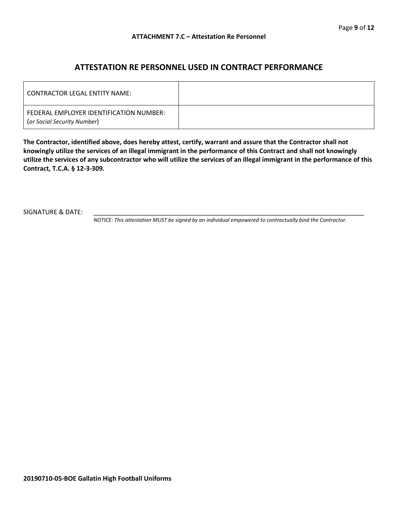### **ATTESTATION RE PERSONNEL USED IN CONTRACT PERFORMANCE**

| LCONTRACTOR LEGAL ENTITY NAME:                                         |  |
|------------------------------------------------------------------------|--|
| FEDERAL EMPLOYER IDENTIFICATION NUMBER:<br>(or Social Security Number) |  |

**The Contractor, identified above, does hereby attest, certify, warrant and assure that the Contractor shall not knowingly utilize the services of an illegal immigrant in the performance of this Contract and shall not knowingly utilize the services of any subcontractor who will utilize the services of an illegal immigrant in the performance of this Contract, T.C.A. § 12-3-309.**

SIGNATURE & DATE:

*NOTICE: This attestation MUST be signed by an individual empowered to contractually bind the Contractor.*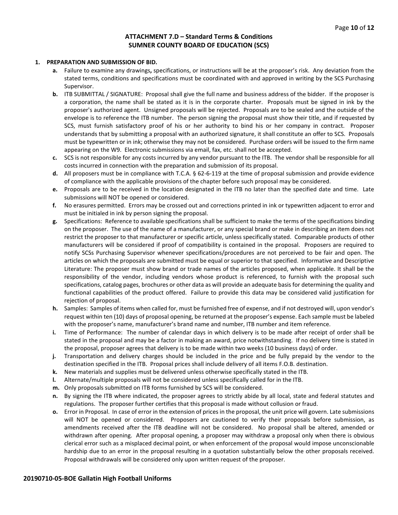#### **ATTACHMENT 7.D – Standard Terms & Conditions SUMNER COUNTY BOARD OF EDUCATION (SCS)**

#### **1. PREPARATION AND SUBMISSION OF BID.**

- **a.** Failure to examine any drawings**,** specifications, or instructions will be at the proposer's risk. Any deviation from the stated terms, conditions and specifications must be coordinated with and approved in writing by the SCS Purchasing Supervisor.
- **b.** ITB SUBMITTAL / SIGNATURE: Proposal shall give the full name and business address of the bidder. If the proposer is a corporation, the name shall be stated as it is in the corporate charter. Proposals must be signed in ink by the proposer's authorized agent. Unsigned proposals will be rejected. Proposals are to be sealed and the outside of the envelope is to reference the ITB number. The person signing the proposal must show their title, and if requested by SCS, must furnish satisfactory proof of his or her authority to bind his or her company in contract. Proposer understands that by submitting a proposal with an authorized signature, it shall constitute an offer to SCS. Proposals must be typewritten or in ink; otherwise they may not be considered. Purchase orders will be issued to the firm name appearing on the W9. Electronic submissions via email, fax, etc. shall not be accepted.
- **c.** SCS is not responsible for any costs incurred by any vendor pursuant to the ITB. The vendor shall be responsible for all costs incurred in connection with the preparation and submission of its proposal.
- **d.** All proposers must be in compliance with T.C.A. § 62-6-119 at the time of proposal submission and provide evidence of compliance with the applicable provisions of the chapter before such proposal may be considered.
- **e.** Proposals are to be received in the location designated in the ITB no later than the specified date and time. Late submissions will NOT be opened or considered.
- **f.** No erasures permitted. Errors may be crossed out and corrections printed in ink or typewritten adjacent to error and must be initialed in ink by person signing the proposal.
- **g.** Specifications: Reference to available specifications shall be sufficient to make the terms of the specifications binding on the proposer. The use of the name of a manufacturer, or any special brand or make in describing an item does not restrict the proposer to that manufacturer or specific article, unless specifically stated. Comparable products of other manufacturers will be considered if proof of compatibility is contained in the proposal. Proposers are required to notify SCSs Purchasing Supervisor whenever specifications/procedures are not perceived to be fair and open. The articles on which the proposals are submitted must be equal or superior to that specified. Informative and Descriptive Literature: The proposer must show brand or trade names of the articles proposed, when applicable. It shall be the responsibility of the vendor, including vendors whose product is referenced, to furnish with the proposal such specifications, catalog pages, brochures or other data as will provide an adequate basis for determining the quality and functional capabilities of the product offered. Failure to provide this data may be considered valid justification for rejection of proposal.
- **h.** Samples: Samples of items when called for, must be furnished free of expense, and if not destroyed will, upon vendor's request within ten (10) days of proposal opening, be returned at the proposer's expense. Each sample must be labeled with the proposer's name, manufacturer's brand name and number, ITB number and item reference.
- **i.** Time of Performance: The number of calendar days in which delivery is to be made after receipt of order shall be stated in the proposal and may be a factor in making an award, price notwithstanding. If no delivery time is stated in the proposal, proposer agrees that delivery is to be made within two weeks (10 business days) of order.
- **j.** Transportation and delivery charges should be included in the price and be fully prepaid by the vendor to the destination specified in the ITB. Proposal prices shall include delivery of all items F.O.B. destination.
- **k.** New materials and supplies must be delivered unless otherwise specifically stated in the ITB.
- **l.** Alternate/multiple proposals will not be considered unless specifically called for in the ITB.
- **m.** Only proposals submitted on ITB forms furnished by SCS will be considered.
- **n.** By signing the ITB where indicated, the proposer agrees to strictly abide by all local, state and federal statutes and regulations. The proposer further certifies that this proposal is made without collusion or fraud.
- **o.** Error in Proposal. In case of error in the extension of prices in the proposal, the unit price will govern. Late submissions will NOT be opened or considered. Proposers are cautioned to verify their proposals before submission, as amendments received after the ITB deadline will not be considered. No proposal shall be altered, amended or withdrawn after opening. After proposal opening, a proposer may withdraw a proposal only when there is obvious clerical error such as a misplaced decimal point, or when enforcement of the proposal would impose unconscionable hardship due to an error in the proposal resulting in a quotation substantially below the other proposals received. Proposal withdrawals will be considered only upon written request of the proposer.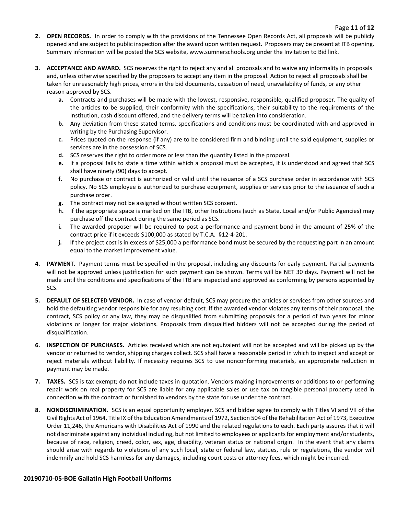- **2. OPEN RECORDS.** In order to comply with the provisions of the Tennessee Open Records Act, all proposals will be publicly opened and are subject to public inspection after the award upon written request. Proposers may be present at ITB opening. Summary information will be posted the SCS website, www.sumnerschools.org under the Invitation to Bid link.
- **3. ACCEPTANCE AND AWARD.** SCS reserves the right to reject any and all proposals and to waive any informality in proposals and, unless otherwise specified by the proposers to accept any item in the proposal. Action to reject all proposals shall be taken for unreasonably high prices, errors in the bid documents, cessation of need, unavailability of funds, or any other reason approved by SCS.
	- **a.** Contracts and purchases will be made with the lowest, responsive, responsible, qualified proposer. The quality of the articles to be supplied, their conformity with the specifications, their suitability to the requirements of the Institution, cash discount offered, and the delivery terms will be taken into consideration.
	- **b.** Any deviation from these stated terms, specifications and conditions must be coordinated with and approved in writing by the Purchasing Supervisor.
	- **c.** Prices quoted on the response (if any) are to be considered firm and binding until the said equipment, supplies or services are in the possession of SCS.
	- **d.** SCS reserves the right to order more or less than the quantity listed in the proposal.
	- **e.** If a proposal fails to state a time within which a proposal must be accepted, it is understood and agreed that SCS shall have ninety (90) days to accept.
	- **f.** No purchase or contract is authorized or valid until the issuance of a SCS purchase order in accordance with SCS policy. No SCS employee is authorized to purchase equipment, supplies or services prior to the issuance of such a purchase order.
	- **g.** The contract may not be assigned without written SCS consent.
	- **h.** If the appropriate space is marked on the ITB, other Institutions (such as State, Local and/or Public Agencies) may purchase off the contract during the same period as SCS.
	- **i.** The awarded proposer will be required to post a performance and payment bond in the amount of 25% of the contract price if it exceeds \$100,000 as stated by T.C.A. §12-4-201.
	- **j.** If the project cost is in excess of \$25,000 a performance bond must be secured by the requesting part in an amount equal to the market improvement value.
- **4. PAYMENT**. Payment terms must be specified in the proposal, including any discounts for early payment. Partial payments will not be approved unless justification for such payment can be shown. Terms will be NET 30 days. Payment will not be made until the conditions and specifications of the ITB are inspected and approved as conforming by persons appointed by SCS.
- **5. DEFAULT OF SELECTED VENDOR.** In case of vendor default, SCS may procure the articles or services from other sources and hold the defaulting vendor responsible for any resulting cost. If the awarded vendor violates any terms of their proposal, the contract, SCS policy or any law, they may be disqualified from submitting proposals for a period of two years for minor violations or longer for major violations. Proposals from disqualified bidders will not be accepted during the period of disqualification.
- **6. INSPECTION OF PURCHASES.** Articles received which are not equivalent will not be accepted and will be picked up by the vendor or returned to vendor, shipping charges collect. SCS shall have a reasonable period in which to inspect and accept or reject materials without liability. If necessity requires SCS to use nonconforming materials, an appropriate reduction in payment may be made.
- **7. TAXES.** SCS is tax exempt; do not include taxes in quotation. Vendors making improvements or additions to or performing repair work on real property for SCS are liable for any applicable sales or use tax on tangible personal property used in connection with the contract or furnished to vendors by the state for use under the contract.
- **8. NONDISCRIMINATION.** SCS is an equal opportunity employer. SCS and bidder agree to comply with Titles VI and VII of the Civil Rights Act of 1964, Title IX of the Education Amendments of 1972, Section 504 of the Rehabilitation Act of 1973, Executive Order 11,246, the Americans with Disabilities Act of 1990 and the related regulations to each. Each party assures that it will not discriminate against any individual including, but not limited to employees or applicants for employment and/or students, because of race, religion, creed, color, sex, age, disability, veteran status or national origin. In the event that any claims should arise with regards to violations of any such local, state or federal law, statues, rule or regulations, the vendor will indemnify and hold SCS harmless for any damages, including court costs or attorney fees, which might be incurred.

#### **20190710-05-BOE Gallatin High Football Uniforms**